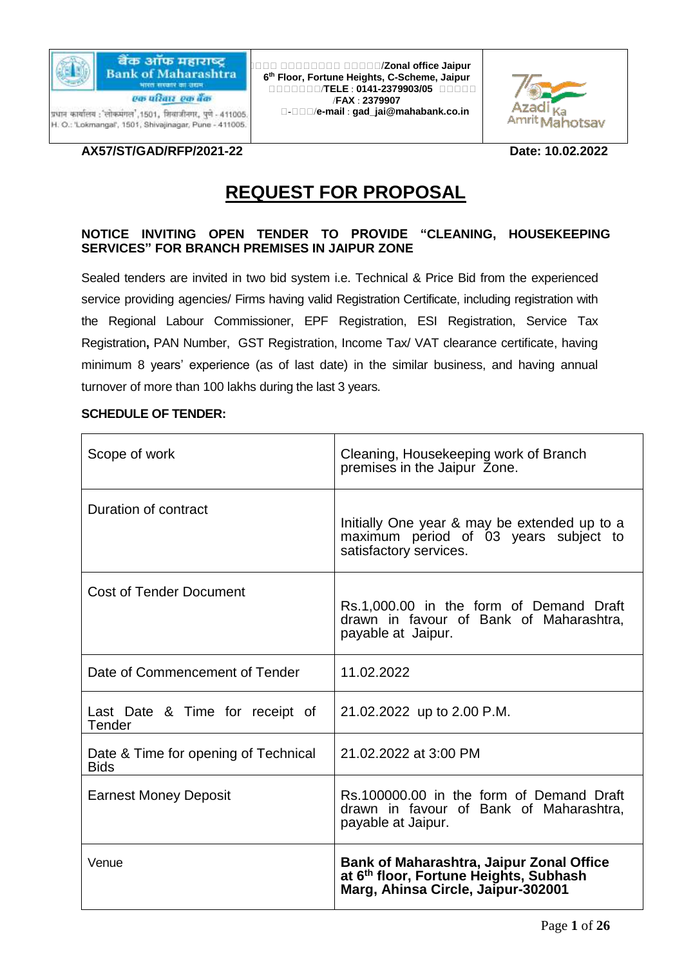

बैंक ऑफ महाराष्ट **Bank of Maharashtra** भारत सरकार का उद्यम

एक परिवार एक बैंक प्रधान कार्यालय : 'लोकमंगल', 1501, शिवाजीनगर, पुणे - 411005. H. O.: 'Lokmangal', 1501, Shivajinagar, Pune - 411005.

अअअअ अअअअअअअअ अअअअअ/**Zonal office Jaipur 6 th Floor, Fortune Heights, C-Scheme, Jaipur** अअअअअअअ/**TELE** : **0141-2379903/05** अअअअअ /**FAX** : **2379907** अ-अअअ/**e-mail** : **gad\_jai@mahabank.co.in**



**AX57/ST/GAD/RFP/2021-22** Date: 10.02.2022

# **REQUEST FOR PROPOSAL**

#### **NOTICE INVITING OPEN TENDER TO PROVIDE "CLEANING, HOUSEKEEPING SERVICES" FOR BRANCH PREMISES IN JAIPUR ZONE**

Sealed tenders are invited in two bid system i.e. Technical & Price Bid from the experienced service providing agencies/ Firms having valid Registration Certificate, including registration with the Regional Labour Commissioner, EPF Registration, ESI Registration, Service Tax Registration**,** PAN Number, GST Registration, Income Tax/ VAT clearance certificate, having minimum 8 years' experience (as of last date) in the similar business, and having annual turnover of more than 100 lakhs during the last 3 years.

#### **SCHEDULE OF TENDER:**

| Scope of work                                       | Cleaning, Housekeeping work of Branch<br>premises in the Jaipur Zone.                                                                       |
|-----------------------------------------------------|---------------------------------------------------------------------------------------------------------------------------------------------|
| Duration of contract                                | Initially One year & may be extended up to a<br>maximum period of 03 years subject to<br>satisfactory services.                             |
| <b>Cost of Tender Document</b>                      | Rs.1,000.00 in the form of Demand Draft<br>drawn in favour of Bank of Maharashtra,<br>payable at Jaipur.                                    |
| Date of Commencement of Tender                      | 11.02.2022                                                                                                                                  |
| Last Date & Time for receipt of<br>Tender           | 21.02.2022 up to 2.00 P.M.                                                                                                                  |
| Date & Time for opening of Technical<br><b>Bids</b> | 21.02.2022 at 3:00 PM                                                                                                                       |
| <b>Earnest Money Deposit</b>                        | Rs.100000.00 in the form of Demand Draft<br>drawn in favour of Bank of Maharashtra,<br>payable at Jaipur.                                   |
| Venue                                               | <b>Bank of Maharashtra, Jaipur Zonal Office</b><br>at 6 <sup>th</sup> floor, Fortune Heights, Subhash<br>Marg, Ahinsa Circle, Jaipur-302001 |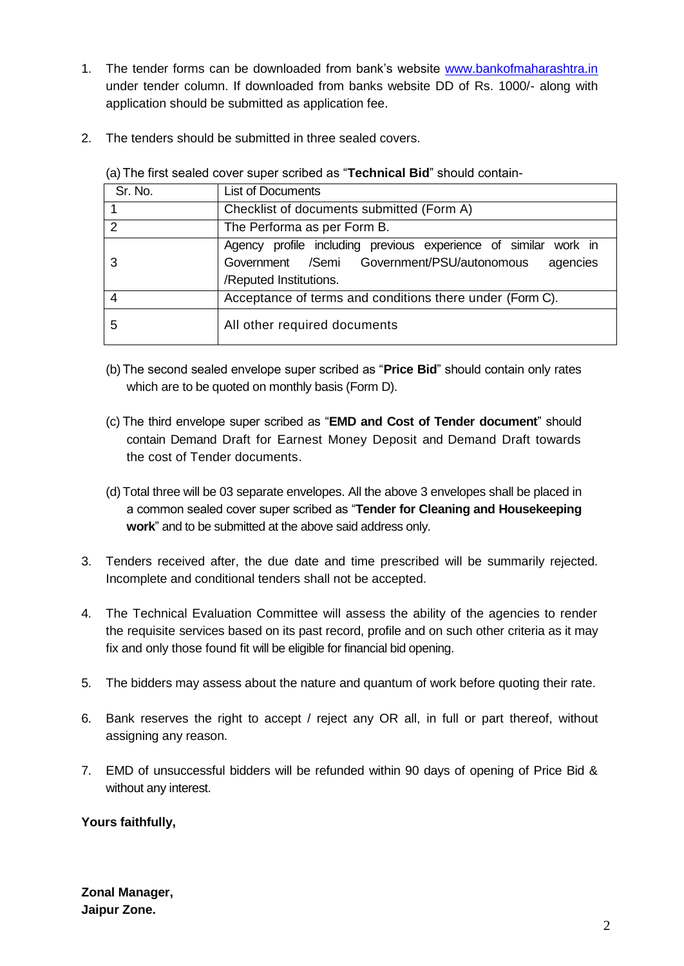- 1. The tender forms can be downloaded from bank's website [www.bankofmaharashtra.in](http://www.bankofmaharashtra.in/) under tender column. If downloaded from banks website DD of Rs. 1000/- along with application should be submitted as application fee.
- 2. The tenders should be submitted in three sealed covers.

| Sr. No.        | <b>List of Documents</b>                                                                                                                            |  |  |
|----------------|-----------------------------------------------------------------------------------------------------------------------------------------------------|--|--|
|                | Checklist of documents submitted (Form A)                                                                                                           |  |  |
| $\overline{2}$ | The Performa as per Form B.                                                                                                                         |  |  |
| 3              | Agency profile including previous experience of similar work in<br>Government /Semi Government/PSU/autonomous<br>agencies<br>/Reputed Institutions. |  |  |
| 4              | Acceptance of terms and conditions there under (Form C).                                                                                            |  |  |
| 5              | All other required documents                                                                                                                        |  |  |

(a)The first sealed cover super scribed as "**Technical Bid**" should contain-

- (b)The second sealed envelope super scribed as "**Price Bid**" should contain only rates which are to be quoted on monthly basis (Form D).
- (c) The third envelope super scribed as "**EMD and Cost of Tender document**" should contain Demand Draft for Earnest Money Deposit and Demand Draft towards the cost of Tender documents.
- (d)Total three will be 03 separate envelopes. All the above 3 envelopes shall be placed in a common sealed cover super scribed as "**Tender for Cleaning and Housekeeping work**" and to be submitted at the above said address only.
- 3. Tenders received after, the due date and time prescribed will be summarily rejected. Incomplete and conditional tenders shall not be accepted.
- 4. The Technical Evaluation Committee will assess the ability of the agencies to render the requisite services based on its past record, profile and on such other criteria as it may fix and only those found fit will be eligible for financial bid opening.
- 5. The bidders may assess about the nature and quantum of work before quoting their rate.
- 6. Bank reserves the right to accept / reject any OR all, in full or part thereof, without assigning any reason.
- 7. EMD of unsuccessful bidders will be refunded within 90 days of opening of Price Bid & without any interest.

### **Yours faithfully,**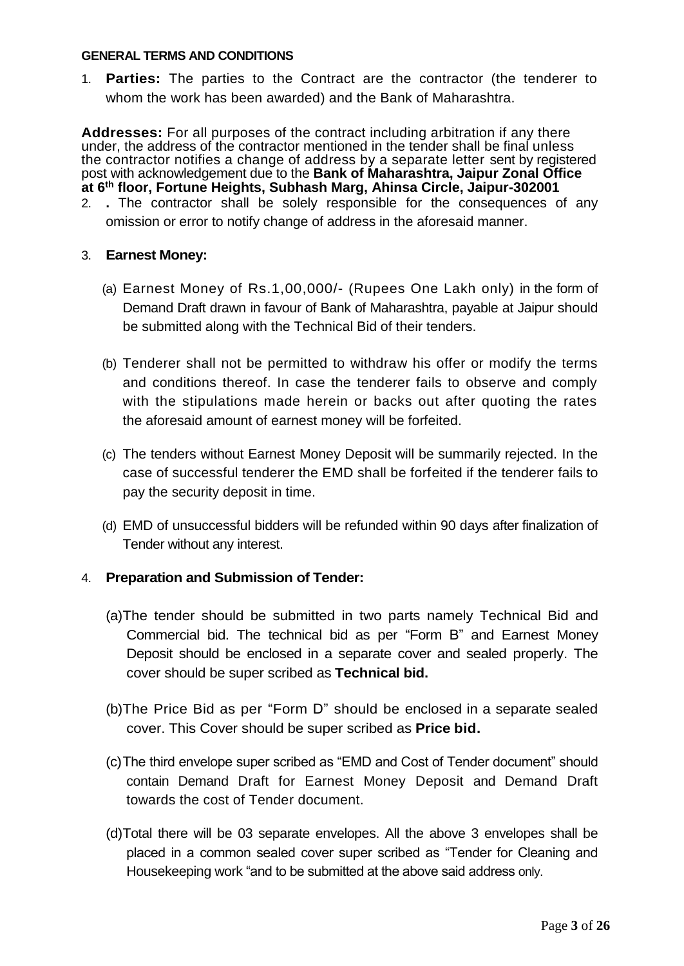#### **GENERAL TERMS AND CONDITIONS**

1. **Parties:** The parties to the Contract are the contractor (the tenderer to whom the work has been awarded) and the Bank of Maharashtra.

**Addresses:** For all purposes of the contract including arbitration if any there under, the address of the contractor mentioned in the tender shall be final unless the contractor notifies a change of address by a separate letter sent by registered post with acknowledgement due to the **Bank of Maharashtra, Jaipur Zonal Office at 6th floor, Fortune Heights, Subhash Marg, Ahinsa Circle, Jaipur-302001** 2. **.** The contractor shall be solely responsible for the consequences of any

omission or error to notify change of address in the aforesaid manner.

### 3. **Earnest Money:**

- (a) Earnest Money of Rs.1,00,000/- (Rupees One Lakh only) in the form of Demand Draft drawn in favour of Bank of Maharashtra, payable at Jaipur should be submitted along with the Technical Bid of their tenders.
- (b) Tenderer shall not be permitted to withdraw his offer or modify the terms and conditions thereof. In case the tenderer fails to observe and comply with the stipulations made herein or backs out after quoting the rates the aforesaid amount of earnest money will be forfeited.
- (c) The tenders without Earnest Money Deposit will be summarily rejected. In the case of successful tenderer the EMD shall be forfeited if the tenderer fails to pay the security deposit in time.
- (d) EMD of unsuccessful bidders will be refunded within 90 days after finalization of Tender without any interest.

### 4. **Preparation and Submission of Tender:**

- (a)The tender should be submitted in two parts namely Technical Bid and Commercial bid. The technical bid as per "Form B" and Earnest Money Deposit should be enclosed in a separate cover and sealed properly. The cover should be super scribed as **Technical bid.**
- (b)The Price Bid as per "Form D" should be enclosed in a separate sealed cover. This Cover should be super scribed as **Price bid.**
- (c)The third envelope super scribed as "EMD and Cost of Tender document" should contain Demand Draft for Earnest Money Deposit and Demand Draft towards the cost of Tender document.
- (d)Total there will be 03 separate envelopes. All the above 3 envelopes shall be placed in a common sealed cover super scribed as "Tender for Cleaning and Housekeeping work "and to be submitted at the above said address only.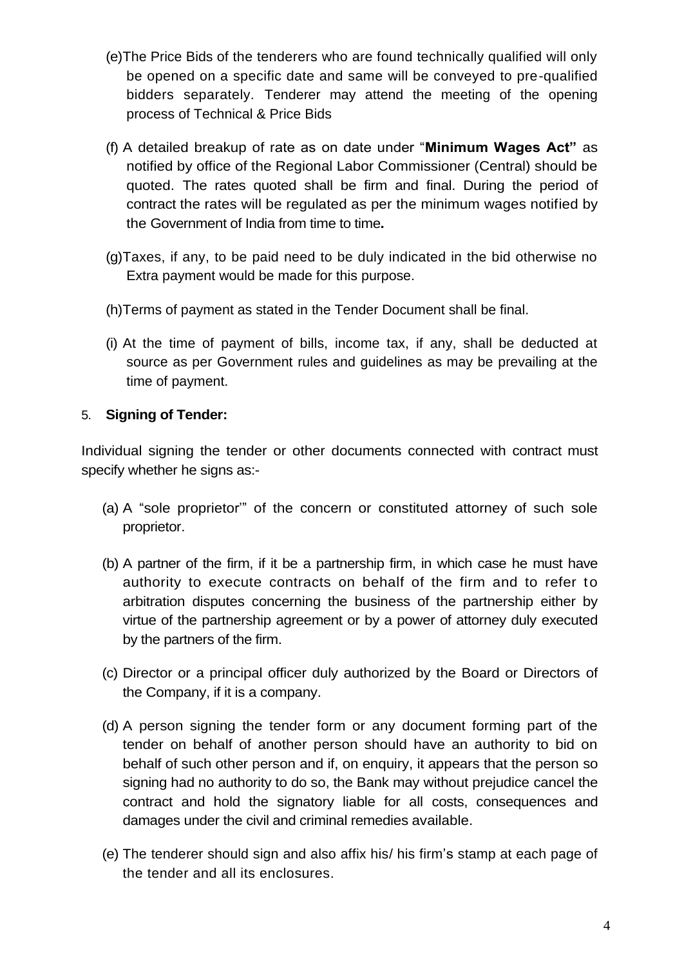- (e)The Price Bids of the tenderers who are found technically qualified will only be opened on a specific date and same will be conveyed to pre-qualified bidders separately. Tenderer may attend the meeting of the opening process of Technical & Price Bids
- (f) A detailed breakup of rate as on date under "**Minimum Wages Act"** as notified by office of the Regional Labor Commissioner (Central) should be quoted. The rates quoted shall be firm and final. During the period of contract the rates will be regulated as per the minimum wages notified by the Government of India from time to time**.**
- (g)Taxes, if any, to be paid need to be duly indicated in the bid otherwise no Extra payment would be made for this purpose.
- (h)Terms of payment as stated in the Tender Document shall be final.
- (i) At the time of payment of bills, income tax, if any, shall be deducted at source as per Government rules and guidelines as may be prevailing at the time of payment.

# 5. **Signing of Tender:**

Individual signing the tender or other documents connected with contract must specify whether he signs as:-

- (a) A "sole proprietor'" of the concern or constituted attorney of such sole proprietor.
- (b) A partner of the firm, if it be a partnership firm, in which case he must have authority to execute contracts on behalf of the firm and to refer to arbitration disputes concerning the business of the partnership either by virtue of the partnership agreement or by a power of attorney duly executed by the partners of the firm.
- (c) Director or a principal officer duly authorized by the Board or Directors of the Company, if it is a company.
- (d) A person signing the tender form or any document forming part of the tender on behalf of another person should have an authority to bid on behalf of such other person and if, on enquiry, it appears that the person so signing had no authority to do so, the Bank may without prejudice cancel the contract and hold the signatory liable for all costs, consequences and damages under the civil and criminal remedies available.
- (e) The tenderer should sign and also affix his/ his firm's stamp at each page of the tender and all its enclosures.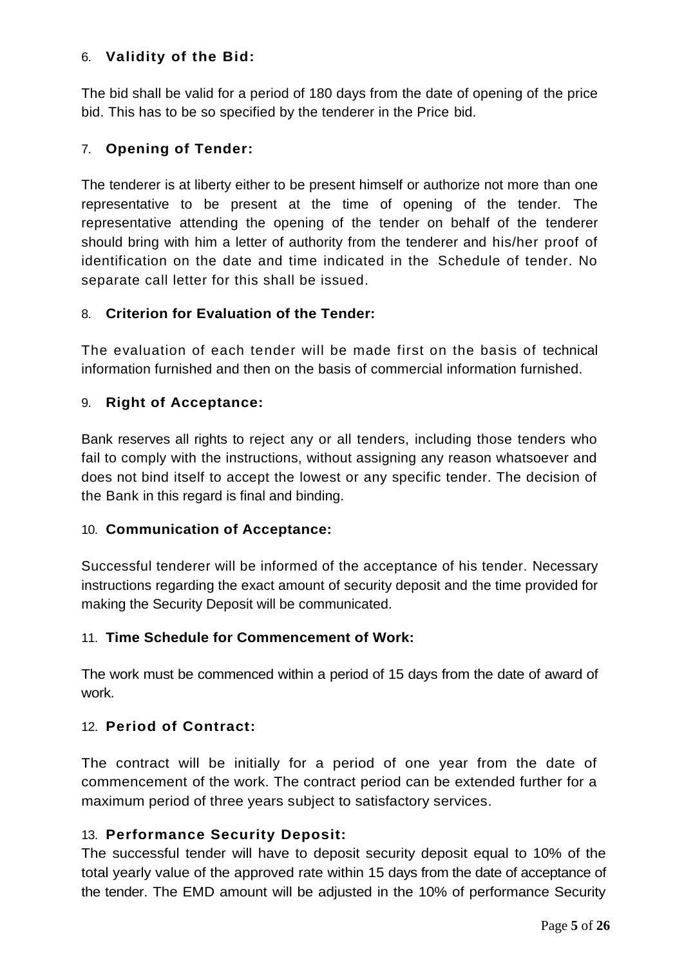# 6. **Validity of the Bid:**

The bid shall be valid for a period of 180 days from the date of opening of the price bid. This has to be so specified by the tenderer in the Price bid.

# 7. **Opening of Tender:**

The tenderer is at liberty either to be present himself or authorize not more than one representative to be present at the time of opening of the tender. The representative attending the opening of the tender on behalf of the tenderer should bring with him a letter of authority from the tenderer and his/her proof of identification on the date and time indicated in the "Schedule of tender. No separate call letter for this shall be issued.

# 8. **Criterion for Evaluation of the Tender:**

The evaluation of each tender will be made first on the basis of technical information furnished and then on the basis of commercial information furnished.

# 9. **Right of Acceptance:**

Bank reserves all rights to reject any or all tenders, including those tenders who fail to comply with the instructions, without assigning any reason whatsoever and does not bind itself to accept the lowest or any specific tender. The decision of the Bank in this regard is final and binding.

### 10. **Communication of Acceptance:**

Successful tenderer will be informed of the acceptance of his tender. Necessary instructions regarding the exact amount of security deposit and the time provided for making the Security Deposit will be communicated.

# 11. **Time Schedule for Commencement of Work:**

The work must be commenced within a period of 15 days from the date of award of work.

# 12. **Period of Contract:**

The contract will be initially for a period of one year from the date of commencement of the work. The contract period can be extended further for a maximum period of three years subject to satisfactory services.

### 13. **Performance Security Deposit:**

The successful tender will have to deposit security deposit equal to 10% of the total yearly value of the approved rate within 15 days from the date of acceptance of the tender. The EMD amount will be adjusted in the 10% of performance Security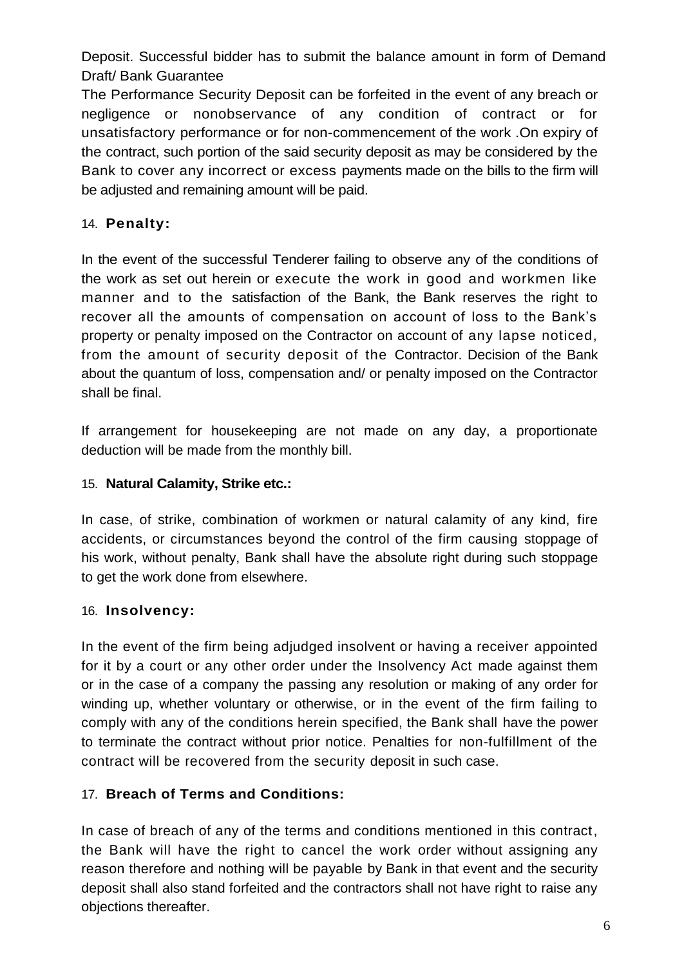Deposit. Successful bidder has to submit the balance amount in form of Demand Draft/ Bank Guarantee

The Performance Security Deposit can be forfeited in the event of any breach or negligence or nonobservance of any condition of contract or for unsatisfactory performance or for non-commencement of the work .On expiry of the contract, such portion of the said security deposit as may be considered by the Bank to cover any incorrect or excess payments made on the bills to the firm will be adjusted and remaining amount will be paid.

# 14. **Penalty:**

In the event of the successful Tenderer failing to observe any of the conditions of the work as set out herein or execute the work in good and workmen like manner and to the satisfaction of the Bank, the Bank reserves the right to recover all the amounts of compensation on account of loss to the Bank's property or penalty imposed on the Contractor on account of any lapse noticed, from the amount of security deposit of the Contractor. Decision of the Bank about the quantum of loss, compensation and/ or penalty imposed on the Contractor shall be final.

If arrangement for housekeeping are not made on any day, a proportionate deduction will be made from the monthly bill.

# 15. **Natural Calamity, Strike etc.:**

In case, of strike, combination of workmen or natural calamity of any kind, fire accidents, or circumstances beyond the control of the firm causing stoppage of his work, without penalty, Bank shall have the absolute right during such stoppage to get the work done from elsewhere.

# 16. **Insolvency:**

In the event of the firm being adjudged insolvent or having a receiver appointed for it by a court or any other order under the Insolvency Act made against them or in the case of a company the passing any resolution or making of any order for winding up, whether voluntary or otherwise, or in the event of the firm failing to comply with any of the conditions herein specified, the Bank shall have the power to terminate the contract without prior notice. Penalties for non-fulfillment of the contract will be recovered from the security deposit in such case.

# 17. **Breach of Terms and Conditions:**

In case of breach of any of the terms and conditions mentioned in this contract, the Bank will have the right to cancel the work order without assigning any reason therefore and nothing will be payable by Bank in that event and the security deposit shall also stand forfeited and the contractors shall not have right to raise any objections thereafter.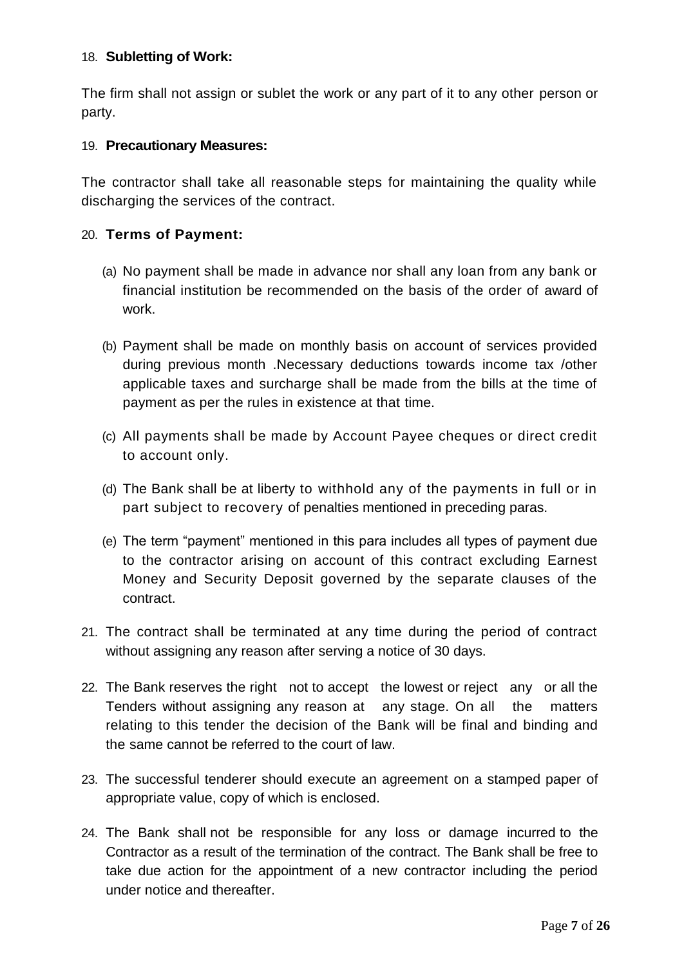# 18. **Subletting of Work:**

The firm shall not assign or sublet the work or any part of it to any other person or party.

### 19. **Precautionary Measures:**

The contractor shall take all reasonable steps for maintaining the quality while discharging the services of the contract.

# 20. **Terms of Payment:**

- (a) No payment shall be made in advance nor shall any loan from any bank or financial institution be recommended on the basis of the order of award of work.
- (b) Payment shall be made on monthly basis on account of services provided during previous month .Necessary deductions towards income tax /other applicable taxes and surcharge shall be made from the bills at the time of payment as per the rules in existence at that time.
- (c) All payments shall be made by Account Payee cheques or direct credit to account only.
- (d) The Bank shall be at liberty to withhold any of the payments in full or in part subject to recovery of penalties mentioned in preceding paras.
- (e) The term "payment" mentioned in this para includes all types of payment due to the contractor arising on account of this contract excluding Earnest Money and Security Deposit governed by the separate clauses of the contract.
- 21. The contract shall be terminated at any time during the period of contract without assigning any reason after serving a notice of 30 days.
- 22. The Bank reserves the right not to accept the lowest or reject any or all the Tenders without assigning any reason at any stage. On all the matters relating to this tender the decision of the Bank will be final and binding and the same cannot be referred to the court of law.
- 23. The successful tenderer should execute an agreement on a stamped paper of appropriate value, copy of which is enclosed.
- 24. The Bank shall not be responsible for any loss or damage incurred to the Contractor as a result of the termination of the contract. The Bank shall be free to take due action for the appointment of a new contractor including the period under notice and thereafter.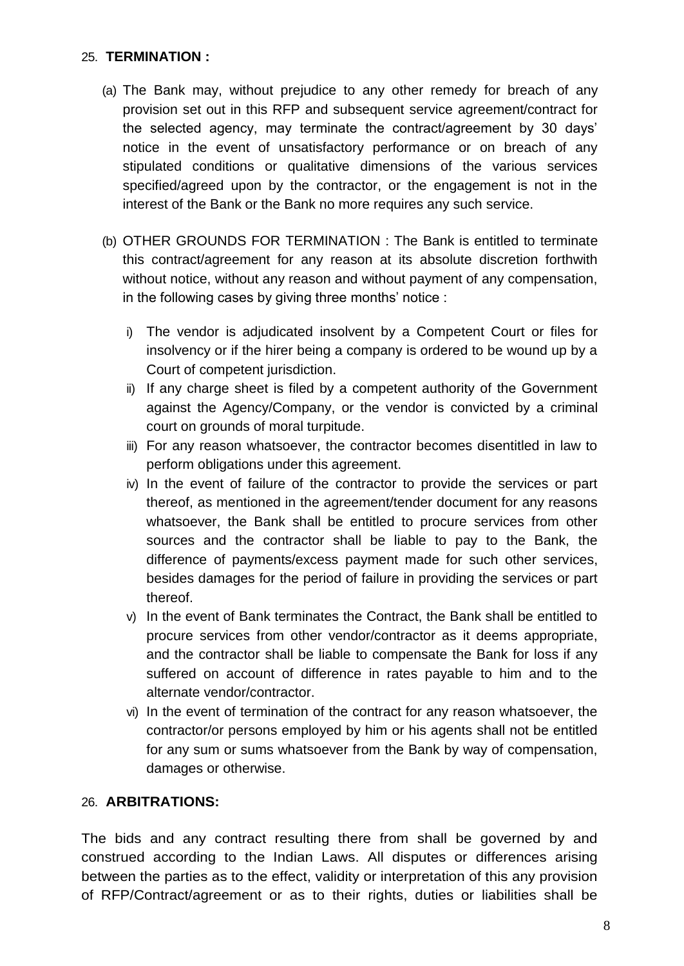# 25. **TERMINATION :**

- (a) The Bank may, without prejudice to any other remedy for breach of any provision set out in this RFP and subsequent service agreement/contract for the selected agency, may terminate the contract/agreement by 30 days' notice in the event of unsatisfactory performance or on breach of any stipulated conditions or qualitative dimensions of the various services specified/agreed upon by the contractor, or the engagement is not in the interest of the Bank or the Bank no more requires any such service.
- (b) OTHER GROUNDS FOR TERMINATION : The Bank is entitled to terminate this contract/agreement for any reason at its absolute discretion forthwith without notice, without any reason and without payment of any compensation, in the following cases by giving three months' notice :
	- i) The vendor is adjudicated insolvent by a Competent Court or files for insolvency or if the hirer being a company is ordered to be wound up by a Court of competent jurisdiction.
	- ii) If any charge sheet is filed by a competent authority of the Government against the Agency/Company, or the vendor is convicted by a criminal court on grounds of moral turpitude.
	- iii) For any reason whatsoever, the contractor becomes disentitled in law to perform obligations under this agreement.
	- iv) In the event of failure of the contractor to provide the services or part thereof, as mentioned in the agreement/tender document for any reasons whatsoever, the Bank shall be entitled to procure services from other sources and the contractor shall be liable to pay to the Bank, the difference of payments/excess payment made for such other services, besides damages for the period of failure in providing the services or part thereof.
	- v) In the event of Bank terminates the Contract, the Bank shall be entitled to procure services from other vendor/contractor as it deems appropriate, and the contractor shall be liable to compensate the Bank for loss if any suffered on account of difference in rates payable to him and to the alternate vendor/contractor.
	- vi) In the event of termination of the contract for any reason whatsoever, the contractor/or persons employed by him or his agents shall not be entitled for any sum or sums whatsoever from the Bank by way of compensation, damages or otherwise.

# 26. **ARBITRATIONS:**

The bids and any contract resulting there from shall be governed by and construed according to the Indian Laws. All disputes or differences arising between the parties as to the effect, validity or interpretation of this any provision of RFP/Contract/agreement or as to their rights, duties or liabilities shall be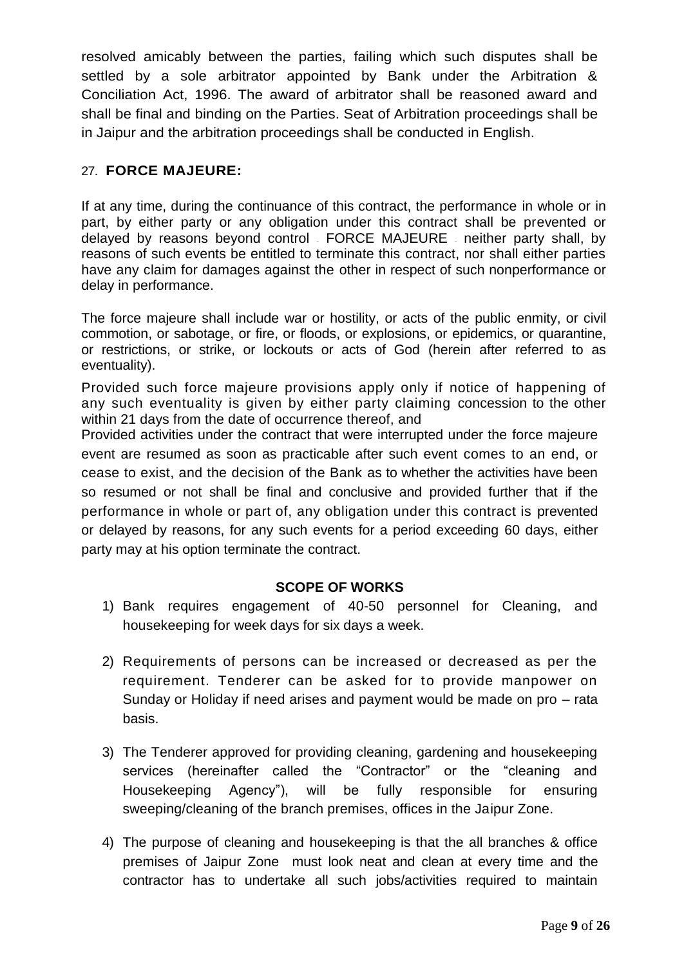resolved amicably between the parties, failing which such disputes shall be settled by a sole arbitrator appointed by Bank under the Arbitration & Conciliation Act, 1996. The award of arbitrator shall be reasoned award and shall be final and binding on the Parties. Seat of Arbitration proceedings shall be in Jaipur and the arbitration proceedings shall be conducted in English.

# 27. **FORCE MAJEURE:**

If at any time, during the continuance of this contract, the performance in whole or in part, by either party or any obligation under this contract shall be prevented or delayed by reasons beyond control – FORCE MAJEURE – neither party shall, by reasons of such events be entitled to terminate this contract, nor shall either parties have any claim for damages against the other in respect of such nonperformance or delay in performance.

The force majeure shall include war or hostility, or acts of the public enmity, or civil commotion, or sabotage, or fire, or floods, or explosions, or epidemics, or quarantine, or restrictions, or strike, or lockouts or acts of God (herein after referred to as eventuality).

Provided such force majeure provisions apply only if notice of happening of any such eventuality is given by either party claiming concession to the other within 21 days from the date of occurrence thereof, and

Provided activities under the contract that were interrupted under the force majeure event are resumed as soon as practicable after such event comes to an end, or cease to exist, and the decision of the Bank as to whether the activities have been so resumed or not shall be final and conclusive and provided further that if the performance in whole or part of, any obligation under this contract is prevented or delayed by reasons, for any such events for a period exceeding 60 days, either party may at his option terminate the contract.

# **SCOPE OF WORKS**

- 1) Bank requires engagement of 40-50 personnel for Cleaning, and housekeeping for week days for six days a week.
- 2) Requirements of persons can be increased or decreased as per the requirement. Tenderer can be asked for to provide manpower on Sunday or Holiday if need arises and payment would be made on pro – rata basis.
- 3) The Tenderer approved for providing cleaning, gardening and housekeeping services (hereinafter called the "Contractor" or the "cleaning and Housekeeping Agency"), will be fully responsible for ensuring sweeping/cleaning of the branch premises, offices in the Jaipur Zone.
- 4) The purpose of cleaning and housekeeping is that the all branches & office premises of Jaipur Zone must look neat and clean at every time and the contractor has to undertake all such jobs/activities required to maintain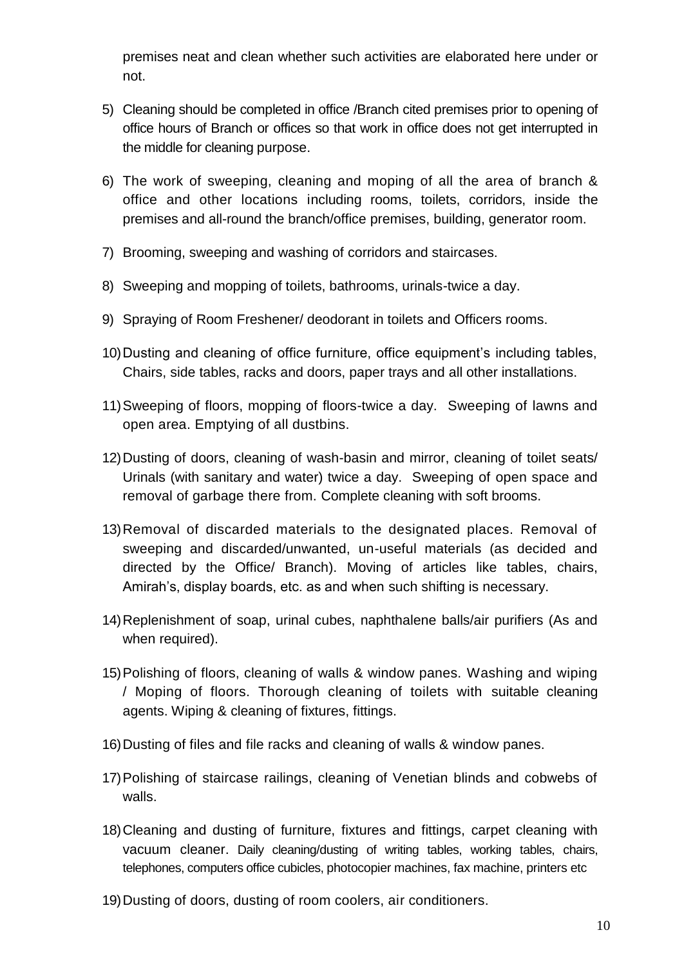premises neat and clean whether such activities are elaborated here under or not.

- 5) Cleaning should be completed in office /Branch cited premises prior to opening of office hours of Branch or offices so that work in office does not get interrupted in the middle for cleaning purpose.
- 6) The work of sweeping, cleaning and moping of all the area of branch & office and other locations including rooms, toilets, corridors, inside the premises and all-round the branch/office premises, building, generator room.
- 7) Brooming, sweeping and washing of corridors and staircases.
- 8) Sweeping and mopping of toilets, bathrooms, urinals-twice a day.
- 9) Spraying of Room Freshener/ deodorant in toilets and Officers rooms.
- 10)Dusting and cleaning of office furniture, office equipment's including tables, Chairs, side tables, racks and doors, paper trays and all other installations.
- 11)Sweeping of floors, mopping of floors-twice a day. Sweeping of lawns and open area. Emptying of all dustbins.
- 12)Dusting of doors, cleaning of wash-basin and mirror, cleaning of toilet seats/ Urinals (with sanitary and water) twice a day. Sweeping of open space and removal of garbage there from. Complete cleaning with soft brooms.
- 13)Removal of discarded materials to the designated places. Removal of sweeping and discarded/unwanted, un-useful materials (as decided and directed by the Office/ Branch). Moving of articles like tables, chairs, Amirah's, display boards, etc. as and when such shifting is necessary.
- 14)Replenishment of soap, urinal cubes, naphthalene balls/air purifiers (As and when required).
- 15)Polishing of floors, cleaning of walls & window panes. Washing and wiping / Moping of floors. Thorough cleaning of toilets with suitable cleaning agents. Wiping & cleaning of fixtures, fittings.
- 16)Dusting of files and file racks and cleaning of walls & window panes.
- 17)Polishing of staircase railings, cleaning of Venetian blinds and cobwebs of walls.
- 18)Cleaning and dusting of furniture, fixtures and fittings, carpet cleaning with vacuum cleaner. Daily cleaning/dusting of writing tables, working tables, chairs, telephones, computers office cubicles, photocopier machines, fax machine, printers etc
- 19)Dusting of doors, dusting of room coolers, air conditioners.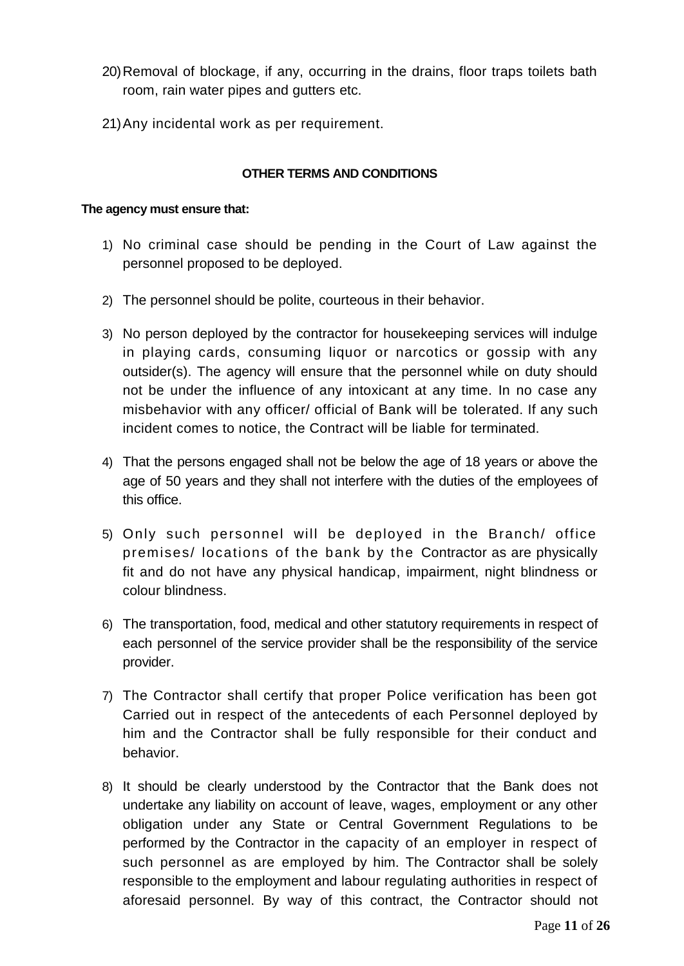- 20)Removal of blockage, if any, occurring in the drains, floor traps toilets bath room, rain water pipes and gutters etc.
- 21)Any incidental work as per requirement.

### **OTHER TERMS AND CONDITIONS**

#### **The agency must ensure that:**

- 1) No criminal case should be pending in the Court of Law against the personnel proposed to be deployed.
- 2) The personnel should be polite, courteous in their behavior.
- 3) No person deployed by the contractor for housekeeping services will indulge in playing cards, consuming liquor or narcotics or gossip with any outsider(s). The agency will ensure that the personnel while on duty should not be under the influence of any intoxicant at any time. In no case any misbehavior with any officer/ official of Bank will be tolerated. If any such incident comes to notice, the Contract will be liable for terminated.
- 4) That the persons engaged shall not be below the age of 18 years or above the age of 50 years and they shall not interfere with the duties of the employees of this office.
- 5) Only such personnel will be deployed in the Branch/ office premises/ locations of the bank by the Contractor as are physically fit and do not have any physical handicap, impairment, night blindness or colour blindness.
- 6) The transportation, food, medical and other statutory requirements in respect of each personnel of the service provider shall be the responsibility of the service provider.
- 7) The Contractor shall certify that proper Police verification has been got Carried out in respect of the antecedents of each Personnel deployed by him and the Contractor shall be fully responsible for their conduct and behavior.
- 8) It should be clearly understood by the Contractor that the Bank does not undertake any liability on account of leave, wages, employment or any other obligation under any State or Central Government Regulations to be performed by the Contractor in the capacity of an employer in respect of such personnel as are employed by him. The Contractor shall be solely responsible to the employment and labour regulating authorities in respect of aforesaid personnel. By way of this contract, the Contractor should not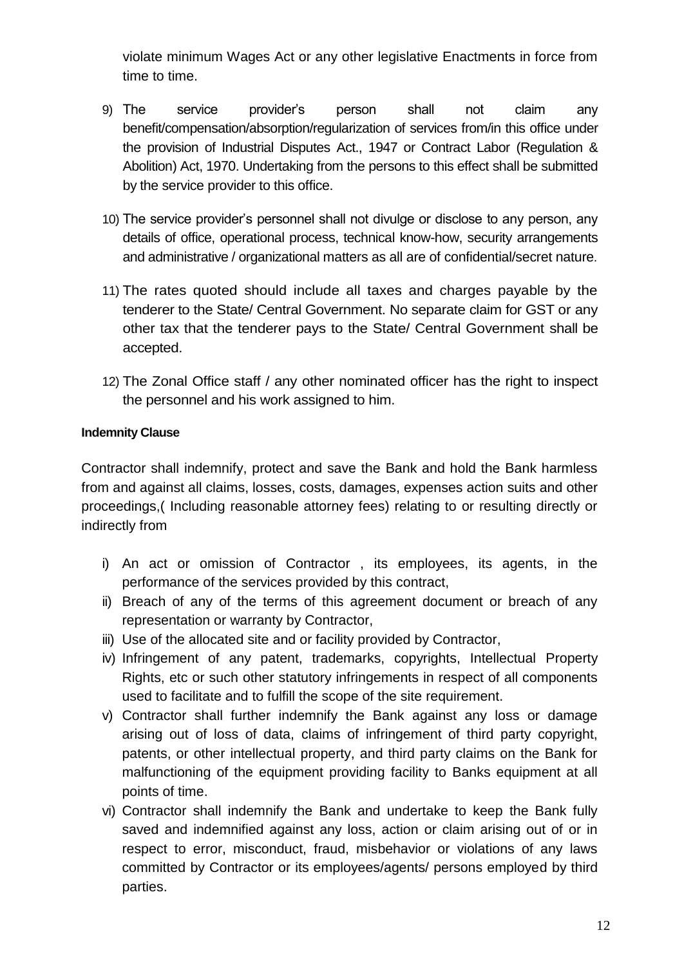violate minimum Wages Act or any other legislative Enactments in force from time to time.

- 9) The service provider's person shall not claim any benefit/compensation/absorption/regularization of services from/in this office under the provision of Industrial Disputes Act., 1947 or Contract Labor (Regulation & Abolition) Act, 1970. Undertaking from the persons to this effect shall be submitted by the service provider to this office.
- 10) The service provider's personnel shall not divulge or disclose to any person, any details of office, operational process, technical know-how, security arrangements and administrative / organizational matters as all are of confidential/secret nature.
- 11) The rates quoted should include all taxes and charges payable by the tenderer to the State/ Central Government. No separate claim for GST or any other tax that the tenderer pays to the State/ Central Government shall be accepted.
- 12) The Zonal Office staff / any other nominated officer has the right to inspect the personnel and his work assigned to him.

# **Indemnity Clause**

Contractor shall indemnify, protect and save the Bank and hold the Bank harmless from and against all claims, losses, costs, damages, expenses action suits and other proceedings,( Including reasonable attorney fees) relating to or resulting directly or indirectly from

- i) An act or omission of Contractor , its employees, its agents, in the performance of the services provided by this contract,
- ii) Breach of any of the terms of this agreement document or breach of any representation or warranty by Contractor,
- iii) Use of the allocated site and or facility provided by Contractor,
- iv) Infringement of any patent, trademarks, copyrights, Intellectual Property Rights, etc or such other statutory infringements in respect of all components used to facilitate and to fulfill the scope of the site requirement.
- v) Contractor shall further indemnify the Bank against any loss or damage arising out of loss of data, claims of infringement of third party copyright, patents, or other intellectual property, and third party claims on the Bank for malfunctioning of the equipment providing facility to Banks equipment at all points of time.
- vi) Contractor shall indemnify the Bank and undertake to keep the Bank fully saved and indemnified against any loss, action or claim arising out of or in respect to error, misconduct, fraud, misbehavior or violations of any laws committed by Contractor or its employees/agents/ persons employed by third parties.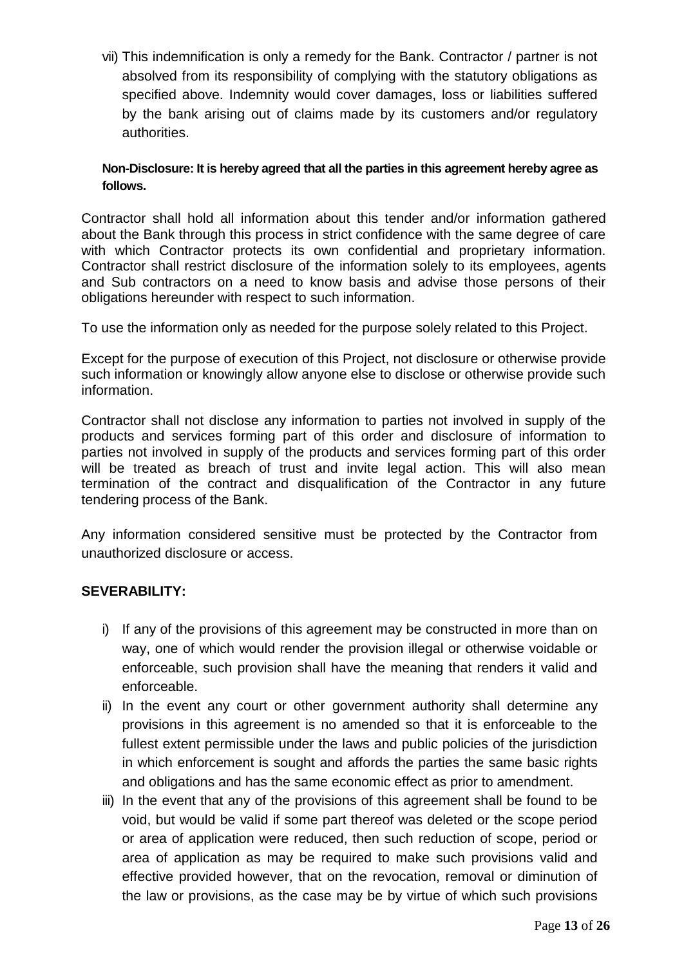vii) This indemnification is only a remedy for the Bank. Contractor / partner is not absolved from its responsibility of complying with the statutory obligations as specified above. Indemnity would cover damages, loss or liabilities suffered by the bank arising out of claims made by its customers and/or regulatory authorities.

### **Non-Disclosure: It is hereby agreed that all the parties in this agreement hereby agree as follows.**

Contractor shall hold all information about this tender and/or information gathered about the Bank through this process in strict confidence with the same degree of care with which Contractor protects its own confidential and proprietary information. Contractor shall restrict disclosure of the information solely to its employees, agents and Sub contractors on a need to know basis and advise those persons of their obligations hereunder with respect to such information.

To use the information only as needed for the purpose solely related to this Project.

Except for the purpose of execution of this Project, not disclosure or otherwise provide such information or knowingly allow anyone else to disclose or otherwise provide such information.

Contractor shall not disclose any information to parties not involved in supply of the products and services forming part of this order and disclosure of information to parties not involved in supply of the products and services forming part of this order will be treated as breach of trust and invite legal action. This will also mean termination of the contract and disqualification of the Contractor in any future tendering process of the Bank.

Any information considered sensitive must be protected by the Contractor from unauthorized disclosure or access.

# **SEVERABILITY:**

- i) If any of the provisions of this agreement may be constructed in more than on way, one of which would render the provision illegal or otherwise voidable or enforceable, such provision shall have the meaning that renders it valid and enforceable.
- ii) In the event any court or other government authority shall determine any provisions in this agreement is no amended so that it is enforceable to the fullest extent permissible under the laws and public policies of the jurisdiction in which enforcement is sought and affords the parties the same basic rights and obligations and has the same economic effect as prior to amendment.
- iii) In the event that any of the provisions of this agreement shall be found to be void, but would be valid if some part thereof was deleted or the scope period or area of application were reduced, then such reduction of scope, period or area of application as may be required to make such provisions valid and effective provided however, that on the revocation, removal or diminution of the law or provisions, as the case may be by virtue of which such provisions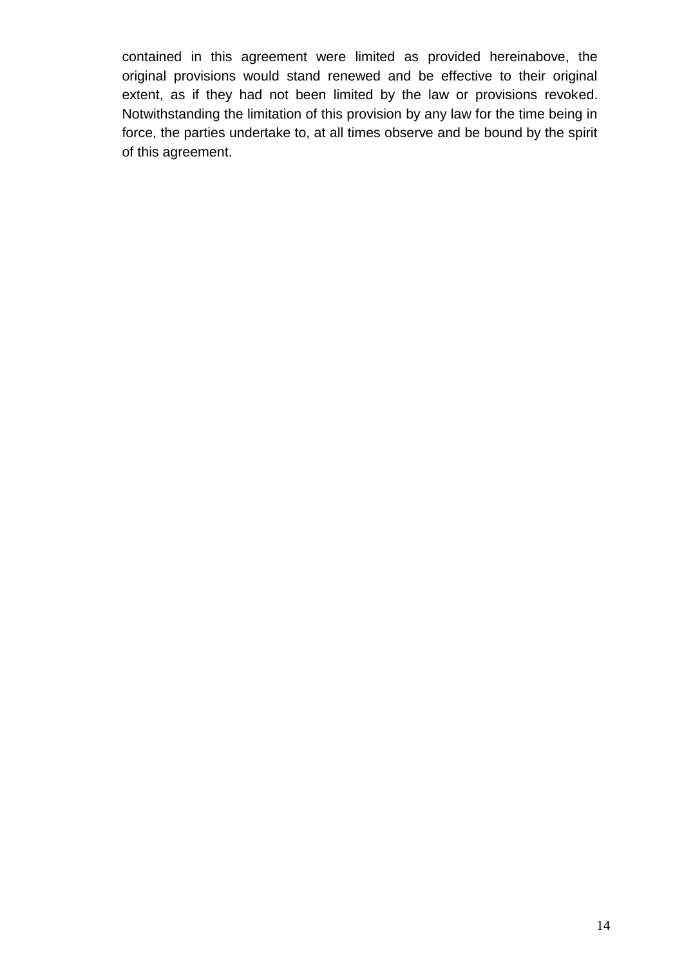contained in this agreement were limited as provided hereinabove, the original provisions would stand renewed and be effective to their original extent, as if they had not been limited by the law or provisions revoked. Notwithstanding the limitation of this provision by any law for the time being in force, the parties undertake to, at all times observe and be bound by the spirit of this agreement.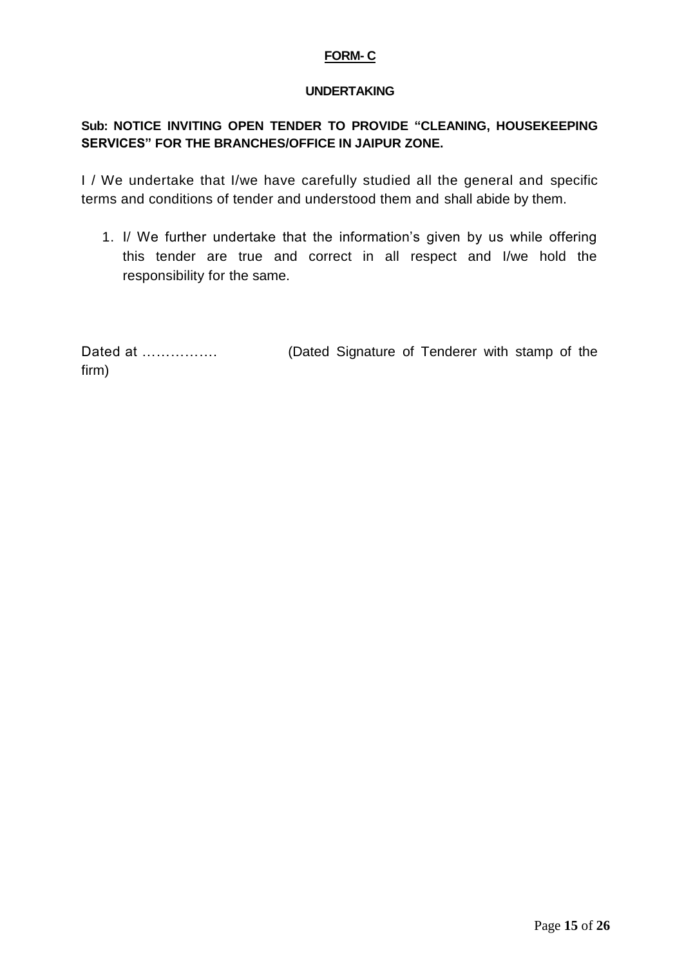#### **FORM- C**

#### **UNDERTAKING**

# **Sub: NOTICE INVITING OPEN TENDER TO PROVIDE "CLEANING, HOUSEKEEPING SERVICES" FOR THE BRANCHES/OFFICE IN JAIPUR ZONE.**

I / We undertake that I/we have carefully studied all the general and specific terms and conditions of tender and understood them and shall abide by them.

1. I/ We further undertake that the information's given by us while offering this tender are true and correct in all respect and I/we hold the responsibility for the same.

| Dated at | (Dated Signature of Tenderer with stamp of the |  |  |  |
|----------|------------------------------------------------|--|--|--|
| firm)    |                                                |  |  |  |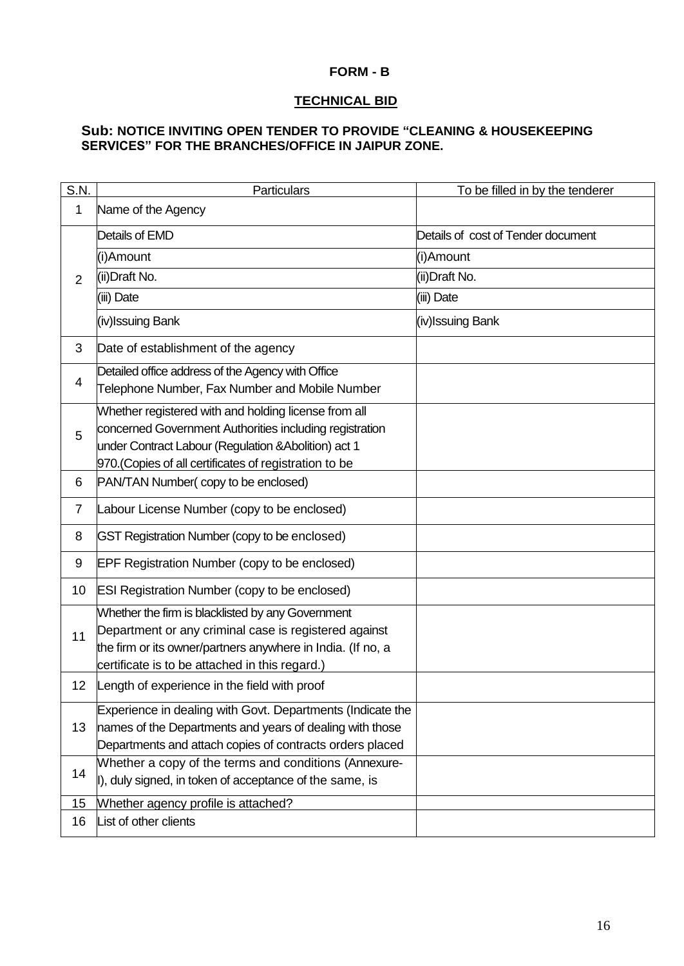#### **FORM - B**

#### **TECHNICAL BID**

#### **Sub: NOTICE INVITING OPEN TENDER TO PROVIDE "CLEANING & HOUSEKEEPING SERVICES" FOR THE BRANCHES/OFFICE IN JAIPUR ZONE.**

| S.N.           | Particulars                                                 | To be filled in by the tenderer    |
|----------------|-------------------------------------------------------------|------------------------------------|
| 1              | Name of the Agency                                          |                                    |
| 2              | Details of EMD                                              | Details of cost of Tender document |
|                | (i)Amount                                                   | (i)Amount                          |
|                | (ii) Draft No.                                              | (ii) Draft No.                     |
|                | (iii) Date                                                  | (iii) Date                         |
|                | (iv)Issuing Bank                                            | (iv)Issuing Bank                   |
| 3              | Date of establishment of the agency                         |                                    |
| $\overline{4}$ | Detailed office address of the Agency with Office           |                                    |
|                | Telephone Number, Fax Number and Mobile Number              |                                    |
|                | Whether registered with and holding license from all        |                                    |
| 5              | concerned Government Authorities including registration     |                                    |
|                | under Contract Labour (Regulation & Abolition) act 1        |                                    |
|                | 970. (Copies of all certificates of registration to be      |                                    |
| 6              | PAN/TAN Number(copy to be enclosed)                         |                                    |
| $\overline{7}$ | Labour License Number (copy to be enclosed)                 |                                    |
| 8              | GST Registration Number (copy to be enclosed)               |                                    |
| 9              | EPF Registration Number (copy to be enclosed)               |                                    |
| 10             | <b>ESI Registration Number (copy to be enclosed)</b>        |                                    |
|                | Whether the firm is blacklisted by any Government           |                                    |
| 11             | Department or any criminal case is registered against       |                                    |
|                | the firm or its owner/partners anywhere in India. (If no, a |                                    |
|                | certificate is to be attached in this regard.)              |                                    |
| 12             | Length of experience in the field with proof                |                                    |
| 13             | Experience in dealing with Govt. Departments (Indicate the  |                                    |
|                | names of the Departments and years of dealing with those    |                                    |
|                | Departments and attach copies of contracts orders placed    |                                    |
| 14             | Whether a copy of the terms and conditions (Annexure-       |                                    |
|                | I), duly signed, in token of acceptance of the same, is     |                                    |
| 15             | Whether agency profile is attached?                         |                                    |
| 16             | List of other clients                                       |                                    |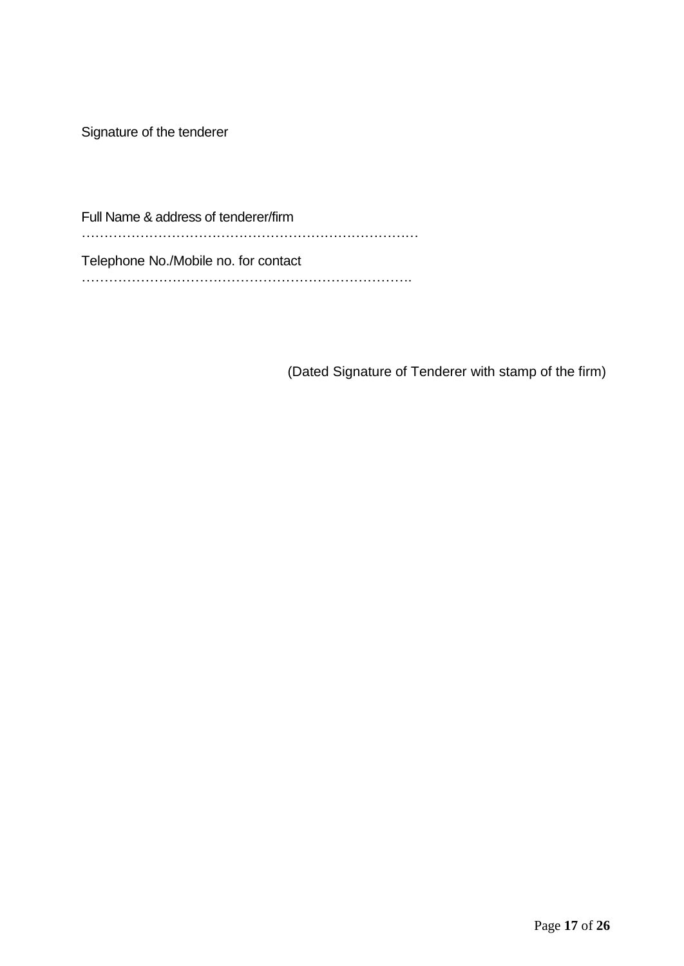Signature of the tenderer

Full Name & address of tenderer/firm ………………………………………………………………… Telephone No./Mobile no. for contact ……………………………………………………………….

(Dated Signature of Tenderer with stamp of the firm)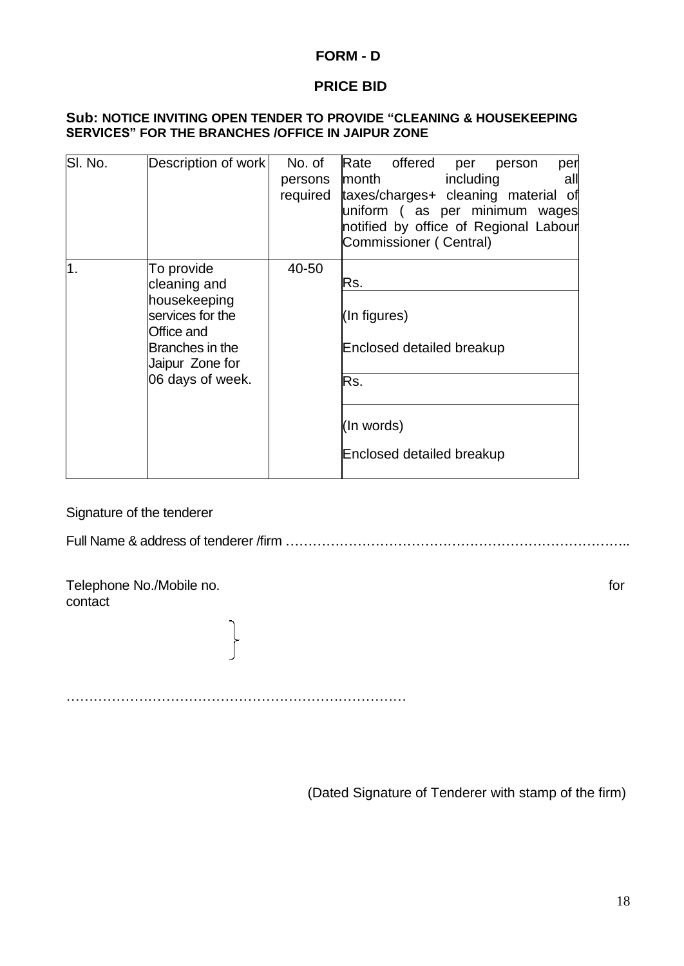### **FORM - D**

# **PRICE BID**

#### **Sub: NOTICE INVITING OPEN TENDER TO PROVIDE "CLEANING & HOUSEKEEPING SERVICES" FOR THE BRANCHES /OFFICE IN JAIPUR ZONE**

| SI. No. | Description of work                                                                                                                    | No. of<br>persons<br>required | Rate offered<br>per<br>per<br>person<br>including<br>month<br>all<br>taxes/charges+ cleaning material of<br>uniform (as per minimum wages<br>notified by office of Regional Labour<br>Commissioner (Central) |
|---------|----------------------------------------------------------------------------------------------------------------------------------------|-------------------------------|--------------------------------------------------------------------------------------------------------------------------------------------------------------------------------------------------------------|
| 1.      | To provide<br>cleaning and<br>housekeeping<br>services for the<br>Office and<br>Branches in the<br>Jaipur Zone for<br>06 days of week. | 40-50                         | Rs.<br>(In figures)<br>Enclosed detailed breakup<br>Rs.<br>(In words)<br>Enclosed detailed breakup                                                                                                           |

Signature of the tenderer

Full Name & address of tenderer /firm …………………………………………………………………..

Telephone No./Mobile no. for contact

…………………………………………………………………

(Dated Signature of Tenderer with stamp of the firm)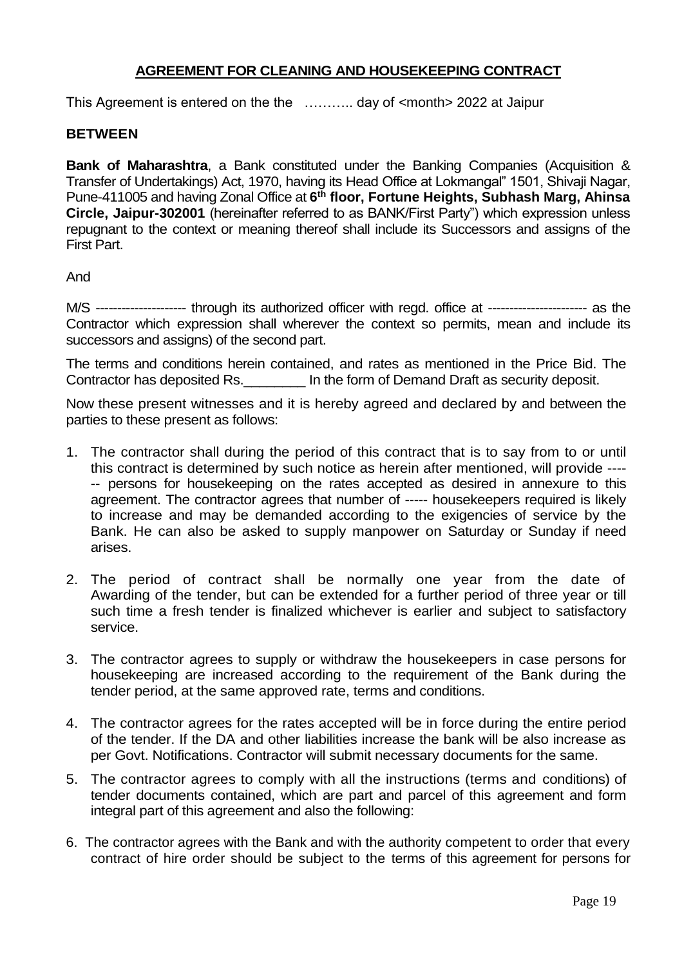# **AGREEMENT FOR CLEANING AND HOUSEKEEPING CONTRACT**

This Agreement is entered on the the ……….. day of <month> 2022 at Jaipur

#### **BETWEEN**

**Bank of Maharashtra**, a Bank constituted under the Banking Companies (Acquisition & Transfer of Undertakings) Act, 1970, having its Head Office at Lokmangal" 1501, Shivaji Nagar, Pune-411005 and having Zonal Office at **6 th floor, Fortune Heights, Subhash Marg, Ahinsa Circle, Jaipur-302001** (hereinafter referred to as BANK/First Party") which expression unless repugnant to the context or meaning thereof shall include its Successors and assigns of the First Part.

And

M/S --------------------- through its authorized officer with regd. office at ----------------------- as the Contractor which expression shall wherever the context so permits, mean and include its successors and assigns) of the second part.

The terms and conditions herein contained, and rates as mentioned in the Price Bid. The Contractor has deposited Rs.\_\_\_\_\_\_\_\_ In the form of Demand Draft as security deposit.

Now these present witnesses and it is hereby agreed and declared by and between the parties to these present as follows:

- 1. The contractor shall during the period of this contract that is to say from to or until this contract is determined by such notice as herein after mentioned, will provide ---- -- persons for housekeeping on the rates accepted as desired in annexure to this agreement. The contractor agrees that number of ----- housekeepers required is likely to increase and may be demanded according to the exigencies of service by the Bank. He can also be asked to supply manpower on Saturday or Sunday if need arises.
- 2. The period of contract shall be normally one year from the date of Awarding of the tender, but can be extended for a further period of three year or till such time a fresh tender is finalized whichever is earlier and subject to satisfactory service.
- 3. The contractor agrees to supply or withdraw the housekeepers in case persons for housekeeping are increased according to the requirement of the Bank during the tender period, at the same approved rate, terms and conditions.
- 4. The contractor agrees for the rates accepted will be in force during the entire period of the tender. If the DA and other liabilities increase the bank will be also increase as per Govt. Notifications. Contractor will submit necessary documents for the same.
- 5. The contractor agrees to comply with all the instructions (terms and conditions) of tender documents contained, which are part and parcel of this agreement and form integral part of this agreement and also the following:
- 6. The contractor agrees with the Bank and with the authority competent to order that every contract of hire order should be subject to the terms of this agreement for persons for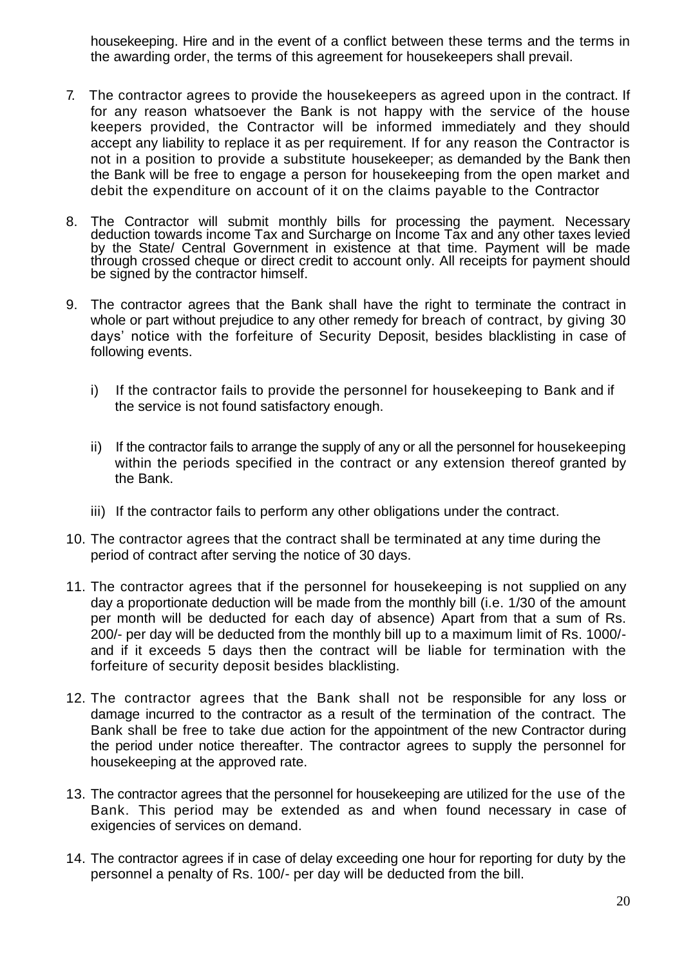housekeeping. Hire and in the event of a conflict between these terms and the terms in the awarding order, the terms of this agreement for housekeepers shall prevail.

- 7. The contractor agrees to provide the housekeepers as agreed upon in the contract. If for any reason whatsoever the Bank is not happy with the service of the house keepers provided, the Contractor will be informed immediately and they should accept any liability to replace it as per requirement. If for any reason the Contractor is not in a position to provide a substitute housekeeper; as demanded by the Bank then the Bank will be free to engage a person for housekeeping from the open market and debit the expenditure on account of it on the claims payable to the Contractor
- 8. The Contractor will submit monthly bills for processing the payment. Necessary deduction towards income Tax and Surcharge on Income Tax and any other taxes levied by the State/ Central Government in existence at that time. Payment will be made through crossed cheque or direct credit to account only. All receipts for payment should be signed by the contractor himself.
- 9. The contractor agrees that the Bank shall have the right to terminate the contract in whole or part without prejudice to any other remedy for breach of contract, by giving 30 days' notice with the forfeiture of Security Deposit, besides blacklisting in case of following events.
	- i) If the contractor fails to provide the personnel for housekeeping to Bank and if the service is not found satisfactory enough.
	- ii) If the contractor fails to arrange the supply of any or all the personnel for housekeeping within the periods specified in the contract or any extension thereof granted by the Bank.
	- iii) If the contractor fails to perform any other obligations under the contract.
- 10. The contractor agrees that the contract shall be terminated at any time during the period of contract after serving the notice of 30 days.
- 11. The contractor agrees that if the personnel for housekeeping is not supplied on any day a proportionate deduction will be made from the monthly bill (i.e. 1/30 of the amount per month will be deducted for each day of absence) Apart from that a sum of Rs. 200/- per day will be deducted from the monthly bill up to a maximum limit of Rs. 1000/ and if it exceeds 5 days then the contract will be liable for termination with the forfeiture of security deposit besides blacklisting.
- 12. The contractor agrees that the Bank shall not be responsible for any loss or damage incurred to the contractor as a result of the termination of the contract. The Bank shall be free to take due action for the appointment of the new Contractor during the period under notice thereafter. The contractor agrees to supply the personnel for housekeeping at the approved rate.
- 13. The contractor agrees that the personnel for housekeeping are utilized for the use of the Bank. This period may be extended as and when found necessary in case of exigencies of services on demand.
- 14. The contractor agrees if in case of delay exceeding one hour for reporting for duty by the personnel a penalty of Rs. 100/- per day will be deducted from the bill.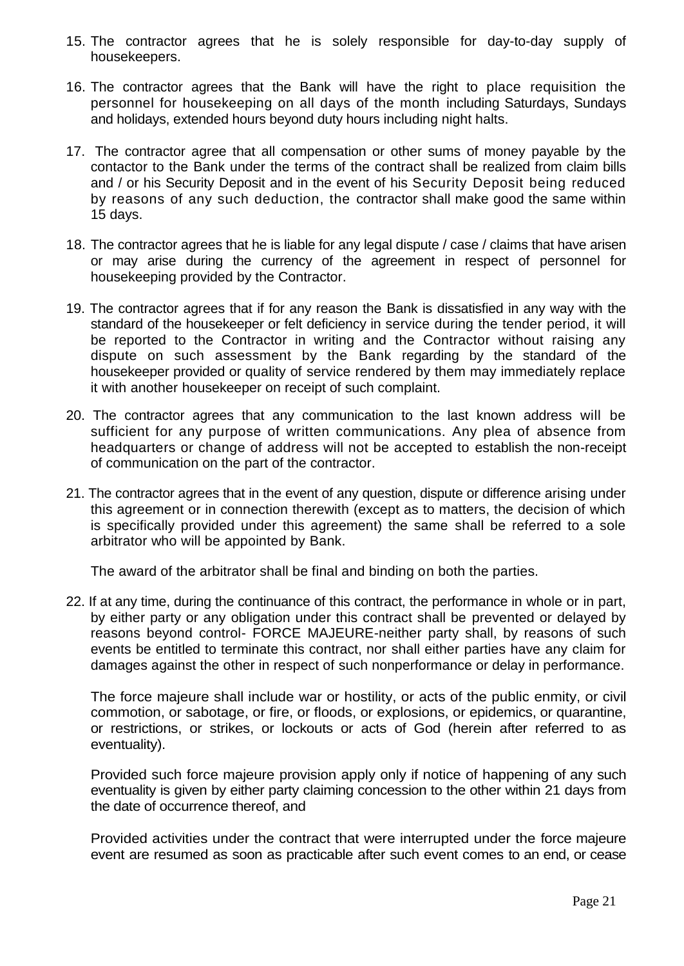- 15. The contractor agrees that he is solely responsible for day-to-day supply of housekeepers.
- 16. The contractor agrees that the Bank will have the right to place requisition the personnel for housekeeping on all days of the month including Saturdays, Sundays and holidays, extended hours beyond duty hours including night halts.
- 17. The contractor agree that all compensation or other sums of money payable by the contactor to the Bank under the terms of the contract shall be realized from claim bills and / or his Security Deposit and in the event of his Security Deposit being reduced by reasons of any such deduction, the contractor shall make good the same within 15 days.
- 18. The contractor agrees that he is liable for any legal dispute / case / claims that have arisen or may arise during the currency of the agreement in respect of personnel for housekeeping provided by the Contractor.
- 19. The contractor agrees that if for any reason the Bank is dissatisfied in any way with the standard of the housekeeper or felt deficiency in service during the tender period, it will be reported to the Contractor in writing and the Contractor without raising any dispute on such assessment by the Bank regarding by the standard of the housekeeper provided or quality of service rendered by them may immediately replace it with another housekeeper on receipt of such complaint.
- 20. The contractor agrees that any communication to the last known address will be sufficient for any purpose of written communications. Any plea of absence from headquarters or change of address will not be accepted to establish the non-receipt of communication on the part of the contractor.
- 21. The contractor agrees that in the event of any question, dispute or difference arising under this agreement or in connection therewith (except as to matters, the decision of which is specifically provided under this agreement) the same shall be referred to a sole arbitrator who will be appointed by Bank.

The award of the arbitrator shall be final and binding on both the parties.

22. If at any time, during the continuance of this contract, the performance in whole or in part, by either party or any obligation under this contract shall be prevented or delayed by reasons beyond control- FORCE MAJEURE-neither party shall, by reasons of such events be entitled to terminate this contract, nor shall either parties have any claim for damages against the other in respect of such nonperformance or delay in performance.

The force majeure shall include war or hostility, or acts of the public enmity, or civil commotion, or sabotage, or fire, or floods, or explosions, or epidemics, or quarantine, or restrictions, or strikes, or lockouts or acts of God (herein after referred to as eventuality).

Provided such force majeure provision apply only if notice of happening of any such eventuality is given by either party claiming concession to the other within 21 days from the date of occurrence thereof, and

Provided activities under the contract that were interrupted under the force majeure event are resumed as soon as practicable after such event comes to an end, or cease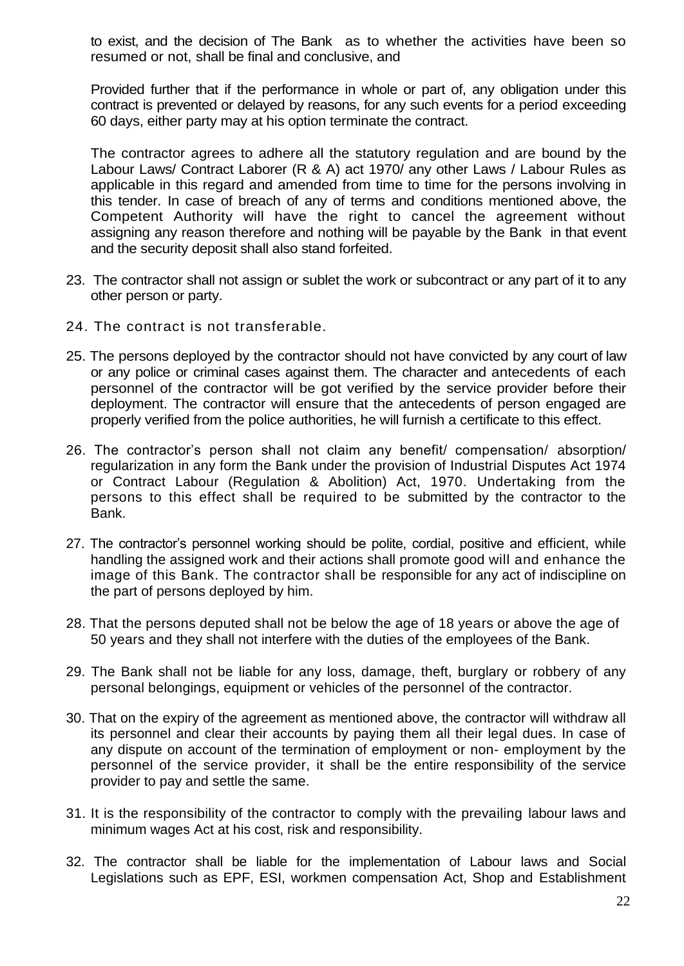to exist, and the decision of The Bank as to whether the activities have been so resumed or not, shall be final and conclusive, and

Provided further that if the performance in whole or part of, any obligation under this contract is prevented or delayed by reasons, for any such events for a period exceeding 60 days, either party may at his option terminate the contract.

The contractor agrees to adhere all the statutory regulation and are bound by the Labour Laws/ Contract Laborer (R & A) act 1970/ any other Laws / Labour Rules as applicable in this regard and amended from time to time for the persons involving in this tender. In case of breach of any of terms and conditions mentioned above, the Competent Authority will have the right to cancel the agreement without assigning any reason therefore and nothing will be payable by the Bank in that event and the security deposit shall also stand forfeited.

- 23. The contractor shall not assign or sublet the work or subcontract or any part of it to any other person or party.
- 24. The contract is not transferable.
- 25. The persons deployed by the contractor should not have convicted by any court of law or any police or criminal cases against them. The character and antecedents of each personnel of the contractor will be got verified by the service provider before their deployment. The contractor will ensure that the antecedents of person engaged are properly verified from the police authorities, he will furnish a certificate to this effect.
- 26. The contractor's person shall not claim any benefit/ compensation/ absorption/ regularization in any form the Bank under the provision of Industrial Disputes Act 1974 or Contract Labour (Regulation & Abolition) Act, 1970. Undertaking from the persons to this effect shall be required to be submitted by the contractor to the Bank.
- 27. The contractor's personnel working should be polite, cordial, positive and efficient, while handling the assigned work and their actions shall promote good will and enhance the image of this Bank. The contractor shall be responsible for any act of indiscipline on the part of persons deployed by him.
- 28. That the persons deputed shall not be below the age of 18 years or above the age of 50 years and they shall not interfere with the duties of the employees of the Bank.
- 29. The Bank shall not be liable for any loss, damage, theft, burglary or robbery of any personal belongings, equipment or vehicles of the personnel of the contractor.
- 30. That on the expiry of the agreement as mentioned above, the contractor will withdraw all its personnel and clear their accounts by paying them all their legal dues. In case of any dispute on account of the termination of employment or non- employment by the personnel of the service provider, it shall be the entire responsibility of the service provider to pay and settle the same.
- 31. It is the responsibility of the contractor to comply with the prevailing labour laws and minimum wages Act at his cost, risk and responsibility.
- 32. The contractor shall be liable for the implementation of Labour laws and Social Legislations such as EPF, ESI, workmen compensation Act, Shop and Establishment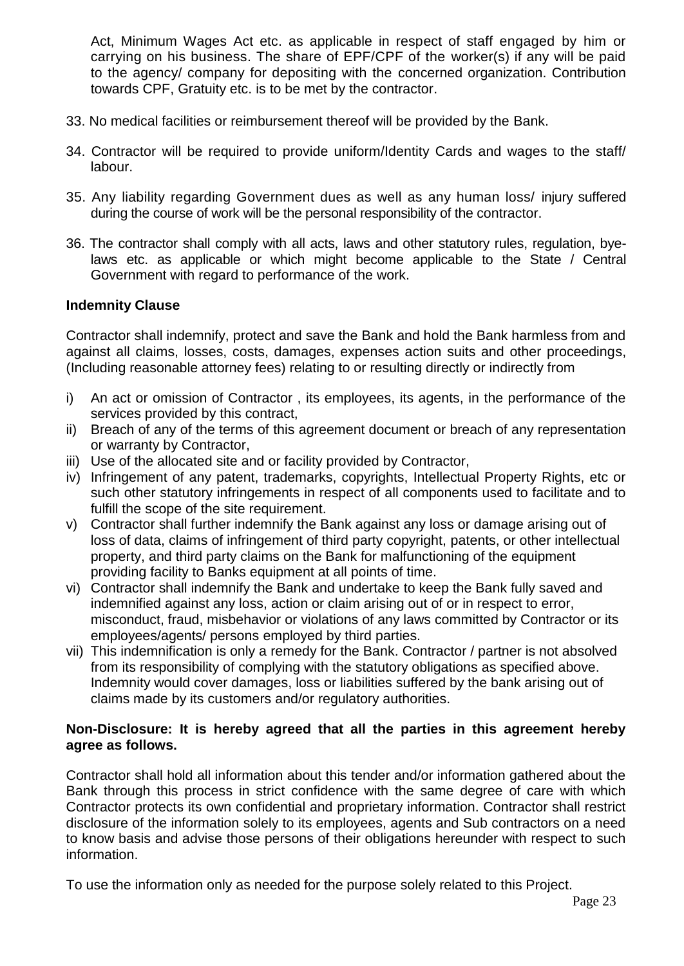Act, Minimum Wages Act etc. as applicable in respect of staff engaged by him or carrying on his business. The share of EPF/CPF of the worker(s) if any will be paid to the agency/ company for depositing with the concerned organization. Contribution towards CPF, Gratuity etc. is to be met by the contractor.

- 33. No medical facilities or reimbursement thereof will be provided by the Bank.
- 34. Contractor will be required to provide uniform/Identity Cards and wages to the staff/ labour.
- 35. Any liability regarding Government dues as well as any human loss/ injury suffered during the course of work will be the personal responsibility of the contractor.
- 36. The contractor shall comply with all acts, laws and other statutory rules, regulation, byelaws etc. as applicable or which might become applicable to the State / Central Government with regard to performance of the work.

#### **Indemnity Clause**

Contractor shall indemnify, protect and save the Bank and hold the Bank harmless from and against all claims, losses, costs, damages, expenses action suits and other proceedings, (Including reasonable attorney fees) relating to or resulting directly or indirectly from

- i) An act or omission of Contractor , its employees, its agents, in the performance of the services provided by this contract,
- ii) Breach of any of the terms of this agreement document or breach of any representation or warranty by Contractor,
- iii) Use of the allocated site and or facility provided by Contractor,
- iv) Infringement of any patent, trademarks, copyrights, Intellectual Property Rights, etc or such other statutory infringements in respect of all components used to facilitate and to fulfill the scope of the site requirement.
- v) Contractor shall further indemnify the Bank against any loss or damage arising out of loss of data, claims of infringement of third party copyright, patents, or other intellectual property, and third party claims on the Bank for malfunctioning of the equipment providing facility to Banks equipment at all points of time.
- vi) Contractor shall indemnify the Bank and undertake to keep the Bank fully saved and indemnified against any loss, action or claim arising out of or in respect to error, misconduct, fraud, misbehavior or violations of any laws committed by Contractor or its employees/agents/ persons employed by third parties.
- vii) This indemnification is only a remedy for the Bank. Contractor / partner is not absolved from its responsibility of complying with the statutory obligations as specified above. Indemnity would cover damages, loss or liabilities suffered by the bank arising out of claims made by its customers and/or regulatory authorities.

### **Non-Disclosure: It is hereby agreed that all the parties in this agreement hereby agree as follows.**

Contractor shall hold all information about this tender and/or information gathered about the Bank through this process in strict confidence with the same degree of care with which Contractor protects its own confidential and proprietary information. Contractor shall restrict disclosure of the information solely to its employees, agents and Sub contractors on a need to know basis and advise those persons of their obligations hereunder with respect to such information.

To use the information only as needed for the purpose solely related to this Project.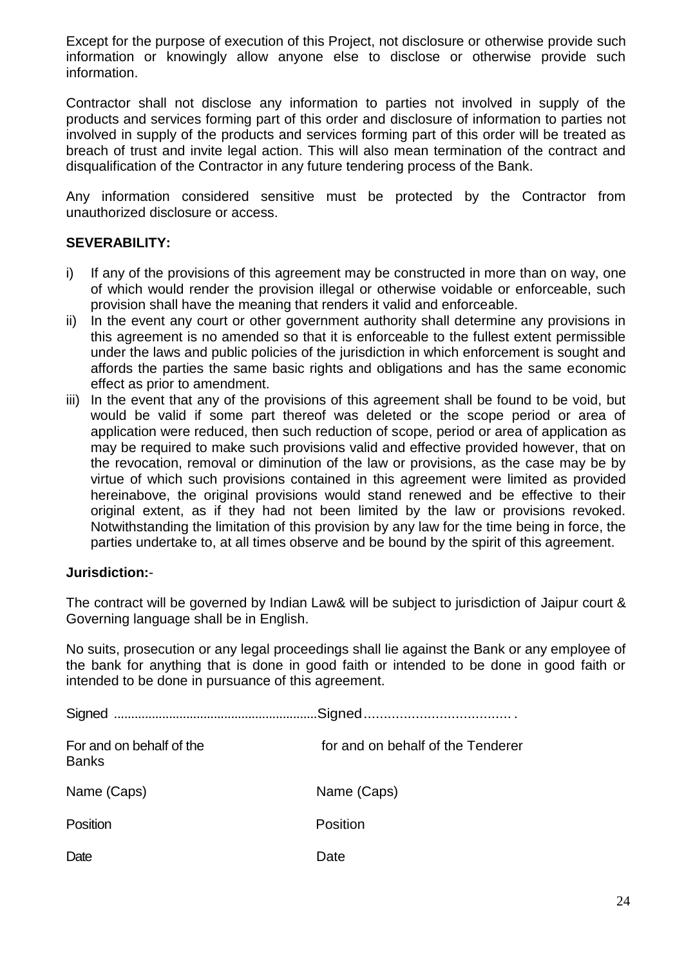Except for the purpose of execution of this Project, not disclosure or otherwise provide such information or knowingly allow anyone else to disclose or otherwise provide such information.

Contractor shall not disclose any information to parties not involved in supply of the products and services forming part of this order and disclosure of information to parties not involved in supply of the products and services forming part of this order will be treated as breach of trust and invite legal action. This will also mean termination of the contract and disqualification of the Contractor in any future tendering process of the Bank.

Any information considered sensitive must be protected by the Contractor from unauthorized disclosure or access.

# **SEVERABILITY:**

- i) If any of the provisions of this agreement may be constructed in more than on way, one of which would render the provision illegal or otherwise voidable or enforceable, such provision shall have the meaning that renders it valid and enforceable.
- ii) In the event any court or other government authority shall determine any provisions in this agreement is no amended so that it is enforceable to the fullest extent permissible under the laws and public policies of the jurisdiction in which enforcement is sought and affords the parties the same basic rights and obligations and has the same economic effect as prior to amendment.
- iii) In the event that any of the provisions of this agreement shall be found to be void, but would be valid if some part thereof was deleted or the scope period or area of application were reduced, then such reduction of scope, period or area of application as may be required to make such provisions valid and effective provided however, that on the revocation, removal or diminution of the law or provisions, as the case may be by virtue of which such provisions contained in this agreement were limited as provided hereinabove, the original provisions would stand renewed and be effective to their original extent, as if they had not been limited by the law or provisions revoked. Notwithstanding the limitation of this provision by any law for the time being in force, the parties undertake to, at all times observe and be bound by the spirit of this agreement.

### **Jurisdiction:**-

The contract will be governed by Indian Law& will be subject to jurisdiction of Jaipur court & Governing language shall be in English.

No suits, prosecution or any legal proceedings shall lie against the Bank or any employee of the bank for anything that is done in good faith or intended to be done in good faith or intended to be done in pursuance of this agreement.

| For and on behalf of the<br><b>Banks</b> | for and on behalf of the Tenderer |
|------------------------------------------|-----------------------------------|
| Name (Caps)                              | Name (Caps)                       |
| Position                                 | Position                          |
| Date                                     | Date                              |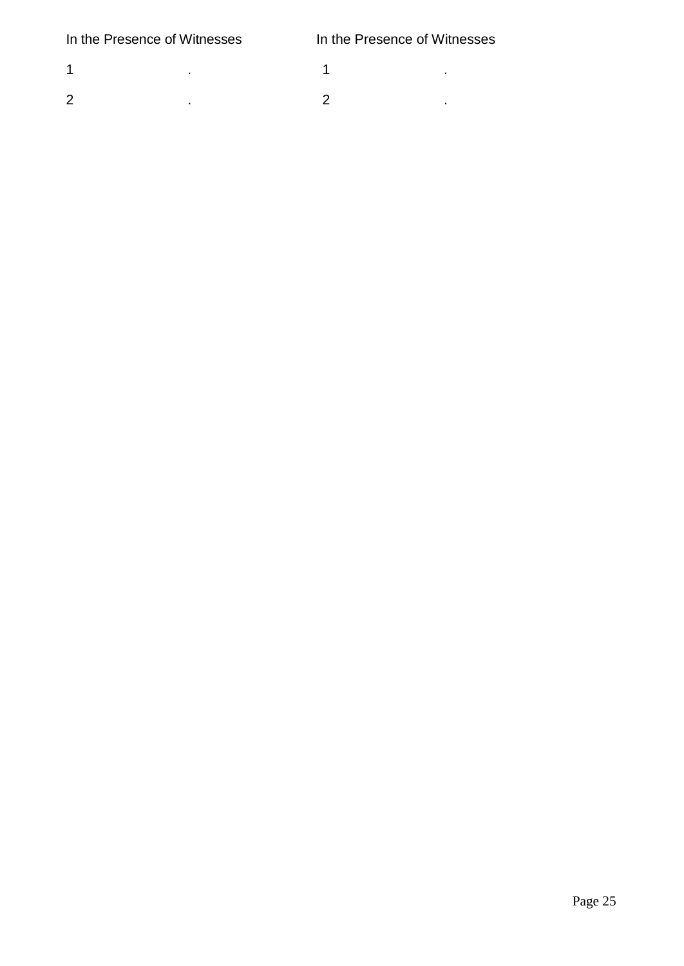1 .  $\blacksquare$  .  $\blacksquare$  .  $\blacksquare$  .  $\blacksquare$  .  $\blacksquare$  .  $\blacksquare$  .  $\blacksquare$  .  $\blacksquare$  .  $\blacksquare$  .  $\blacksquare$  .  $\blacksquare$  .  $\blacksquare$  .  $\blacksquare$  .  $\blacksquare$  .  $\blacksquare$  .  $\blacksquare$  .  $\blacksquare$  .  $\blacksquare$  .  $\blacksquare$  .  $\blacksquare$  .  $\blacksquare$  .  $\blacksquare$  .  $\blacksquare$  .  $\blacksquare$  . 2 . 2 .